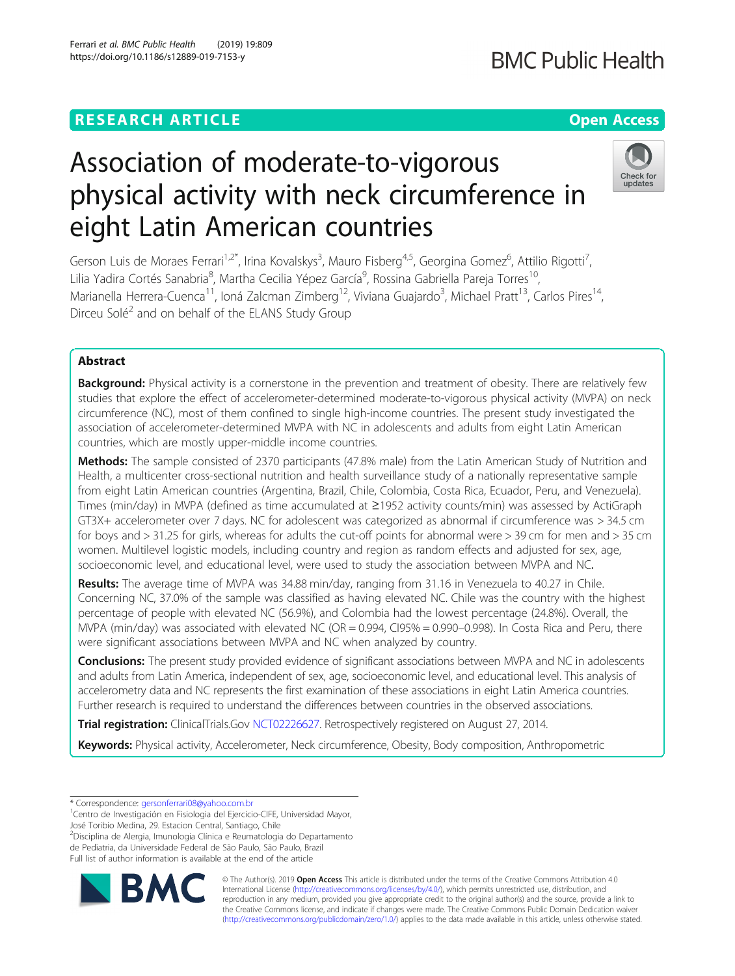# **RESEARCH ARTICLE Example 2018 12:30 THE Open Access**

# Association of moderate-to-vigorous physical activity with neck circumference in eight Latin American countries

Gerson Luis de Moraes Ferrari<sup>1,2\*</sup>, Irina Kovalskys<sup>3</sup>, Mauro Fisberg<sup>4,5</sup>, Georgina Gomez<sup>6</sup>, Attilio Rigotti<sup>7</sup> , Lilia Yadira Cortés Sanabria<sup>8</sup>, Martha Cecilia Yépez García<sup>9</sup>, Rossina Gabriella Pareja Torres<sup>10</sup>, Marianella Herrera-Cuenca<sup>11</sup>, Ioná Zalcman Zimberg<sup>12</sup>, Viviana Guajardo<sup>3</sup>, Michael Pratt<sup>13</sup>, Carlos Pires<sup>14</sup>, Dirceu Solé<sup>2</sup> and on behalf of the ELANS Study Group

## Abstract

Background: Physical activity is a cornerstone in the prevention and treatment of obesity. There are relatively few studies that explore the effect of accelerometer-determined moderate-to-vigorous physical activity (MVPA) on neck circumference (NC), most of them confined to single high-income countries. The present study investigated the association of accelerometer-determined MVPA with NC in adolescents and adults from eight Latin American countries, which are mostly upper-middle income countries.

Methods: The sample consisted of 2370 participants (47.8% male) from the Latin American Study of Nutrition and Health, a multicenter cross-sectional nutrition and health surveillance study of a nationally representative sample from eight Latin American countries (Argentina, Brazil, Chile, Colombia, Costa Rica, Ecuador, Peru, and Venezuela). Times (min/day) in MVPA (defined as time accumulated at ≥1952 activity counts/min) was assessed by ActiGraph GT3X+ accelerometer over 7 days. NC for adolescent was categorized as abnormal if circumference was > 34.5 cm for boys and > 31.25 for girls, whereas for adults the cut-off points for abnormal were > 39 cm for men and > 35 cm women. Multilevel logistic models, including country and region as random effects and adjusted for sex, age, socioeconomic level, and educational level, were used to study the association between MVPA and NC.

Results: The average time of MVPA was 34.88 min/day, ranging from 31.16 in Venezuela to 40.27 in Chile. Concerning NC, 37.0% of the sample was classified as having elevated NC. Chile was the country with the highest percentage of people with elevated NC (56.9%), and Colombia had the lowest percentage (24.8%). Overall, the MVPA (min/day) was associated with elevated NC (OR =  $0.994$ , CI95% =  $0.990-0.998$ ). In Costa Rica and Peru, there were significant associations between MVPA and NC when analyzed by country.

**Conclusions:** The present study provided evidence of significant associations between MVPA and NC in adolescents and adults from Latin America, independent of sex, age, socioeconomic level, and educational level. This analysis of accelerometry data and NC represents the first examination of these associations in eight Latin America countries. Further research is required to understand the differences between countries in the observed associations.

Trial registration: ClinicalTrials.Gov [NCT02226627.](https://clinicaltrials.gov/ct2/show/NCT02226627?term=mauro+fisberg&rank=1) Retrospectively registered on August 27, 2014.

Keywords: Physical activity, Accelerometer, Neck circumference, Obesity, Body composition, Anthropometric

José Toribio Medina, 29. Estacion Central, Santiago, Chile

2 Disciplina de Alergia, Imunologia Clínica e Reumatologia do Departamento de Pediatria, da Universidade Federal de São Paulo, São Paulo, Brazil

Full list of author information is available at the end of the article



© The Author(s). 2019 **Open Access** This article is distributed under the terms of the Creative Commons Attribution 4.0 International License [\(http://creativecommons.org/licenses/by/4.0/](http://creativecommons.org/licenses/by/4.0/)), which permits unrestricted use, distribution, and reproduction in any medium, provided you give appropriate credit to the original author(s) and the source, provide a link to the Creative Commons license, and indicate if changes were made. The Creative Commons Public Domain Dedication waiver [\(http://creativecommons.org/publicdomain/zero/1.0/](http://creativecommons.org/publicdomain/zero/1.0/)) applies to the data made available in this article, unless otherwise stated.





<sup>\*</sup> Correspondence: [gersonferrari08@yahoo.com.br](mailto:gersonferrari08@yahoo.com.br) <sup>1</sup>

Centro de Investigación en Fisiologia del Ejercicio-CIFE, Universidad Mayor,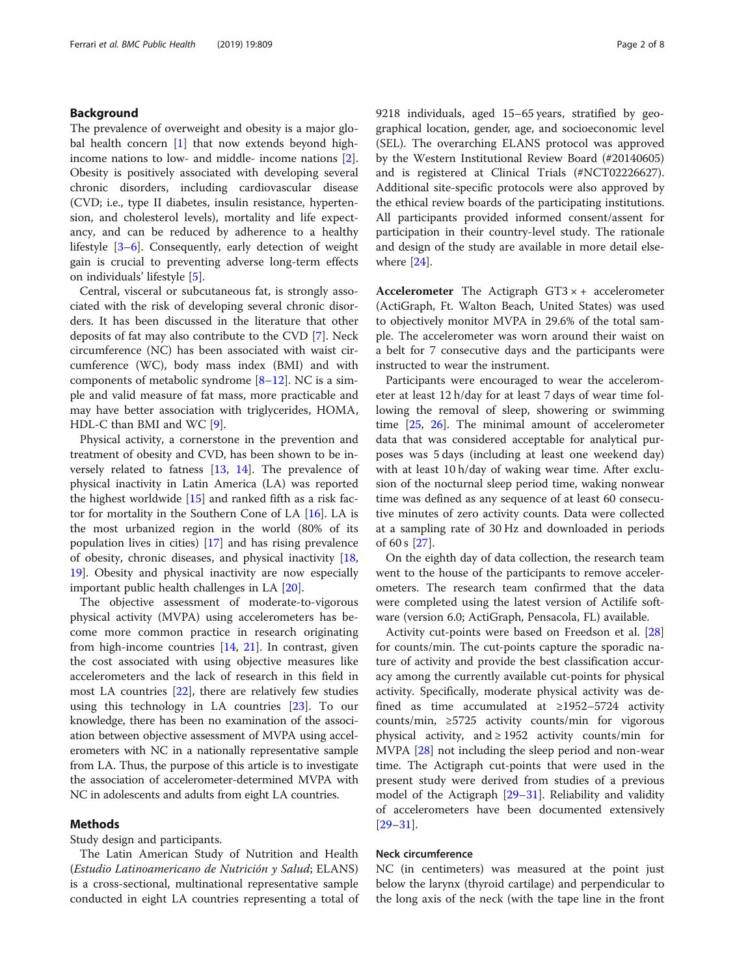### Background

The prevalence of overweight and obesity is a major glo-bal health concern [[1\]](#page-6-0) that now extends beyond highincome nations to low- and middle- income nations [\[2](#page-6-0)]. Obesity is positively associated with developing several chronic disorders, including cardiovascular disease (CVD; i.e., type II diabetes, insulin resistance, hypertension, and cholesterol levels), mortality and life expectancy, and can be reduced by adherence to a healthy lifestyle [\[3](#page-6-0)–[6](#page-6-0)]. Consequently, early detection of weight gain is crucial to preventing adverse long-term effects on individuals' lifestyle [[5\]](#page-6-0).

Central, visceral or subcutaneous fat, is strongly associated with the risk of developing several chronic disorders. It has been discussed in the literature that other deposits of fat may also contribute to the CVD [\[7\]](#page-6-0). Neck circumference (NC) has been associated with waist circumference (WC), body mass index (BMI) and with components of metabolic syndrome  $[8-12]$  $[8-12]$  $[8-12]$  $[8-12]$  $[8-12]$ . NC is a simple and valid measure of fat mass, more practicable and may have better association with triglycerides, HOMA, HDL-C than BMI and WC [\[9](#page-6-0)].

Physical activity, a cornerstone in the prevention and treatment of obesity and CVD, has been shown to be inversely related to fatness [[13,](#page-6-0) [14\]](#page-6-0). The prevalence of physical inactivity in Latin America (LA) was reported the highest worldwide [[15](#page-6-0)] and ranked fifth as a risk factor for mortality in the Southern Cone of LA [[16\]](#page-6-0). LA is the most urbanized region in the world (80% of its population lives in cities) [\[17](#page-6-0)] and has rising prevalence of obesity, chronic diseases, and physical inactivity [[18](#page-6-0), [19\]](#page-6-0). Obesity and physical inactivity are now especially important public health challenges in LA [\[20](#page-6-0)].

The objective assessment of moderate-to-vigorous physical activity (MVPA) using accelerometers has become more common practice in research originating from high-income countries [\[14](#page-6-0), [21](#page-6-0)]. In contrast, given the cost associated with using objective measures like accelerometers and the lack of research in this field in most LA countries [[22\]](#page-6-0), there are relatively few studies using this technology in LA countries [\[23\]](#page-6-0). To our knowledge, there has been no examination of the association between objective assessment of MVPA using accelerometers with NC in a nationally representative sample from LA. Thus, the purpose of this article is to investigate the association of accelerometer-determined MVPA with NC in adolescents and adults from eight LA countries.

#### Methods

Study design and participants.

The Latin American Study of Nutrition and Health (Estudio Latinoamericano de Nutrición y Salud; ELANS) is a cross-sectional, multinational representative sample conducted in eight LA countries representing a total of 9218 individuals, aged 15–65 years, stratified by geographical location, gender, age, and socioeconomic level (SEL). The overarching ELANS protocol was approved by the Western Institutional Review Board (#20140605) and is registered at Clinical Trials (#NCT02226627). Additional site-specific protocols were also approved by the ethical review boards of the participating institutions. All participants provided informed consent/assent for participation in their country-level study. The rationale and design of the study are available in more detail elsewhere [\[24](#page-6-0)].

Accelerometer The Actigraph  $GT3 \times +$  accelerometer (ActiGraph, Ft. Walton Beach, United States) was used to objectively monitor MVPA in 29.6% of the total sample. The accelerometer was worn around their waist on a belt for 7 consecutive days and the participants were instructed to wear the instrument.

Participants were encouraged to wear the accelerometer at least 12 h/day for at least 7 days of wear time following the removal of sleep, showering or swimming time [[25,](#page-6-0) [26\]](#page-6-0). The minimal amount of accelerometer data that was considered acceptable for analytical purposes was 5 days (including at least one weekend day) with at least 10 h/day of waking wear time. After exclusion of the nocturnal sleep period time, waking nonwear time was defined as any sequence of at least 60 consecutive minutes of zero activity counts. Data were collected at a sampling rate of 30 Hz and downloaded in periods of 60 s [\[27](#page-6-0)].

On the eighth day of data collection, the research team went to the house of the participants to remove accelerometers. The research team confirmed that the data were completed using the latest version of Actilife software (version 6.0; ActiGraph, Pensacola, FL) available.

Activity cut-points were based on Freedson et al. [[28](#page-6-0)] for counts/min. The cut-points capture the sporadic nature of activity and provide the best classification accuracy among the currently available cut-points for physical activity. Specifically, moderate physical activity was defined as time accumulated at ≥1952–5724 activity counts/min, ≥5725 activity counts/min for vigorous physical activity, and ≥ 1952 activity counts/min for MVPA [[28\]](#page-6-0) not including the sleep period and non-wear time. The Actigraph cut-points that were used in the present study were derived from studies of a previous model of the Actigraph [[29](#page-6-0)–[31](#page-6-0)]. Reliability and validity of accelerometers have been documented extensively [[29](#page-6-0)–[31](#page-6-0)].

#### Neck circumference

NC (in centimeters) was measured at the point just below the larynx (thyroid cartilage) and perpendicular to the long axis of the neck (with the tape line in the front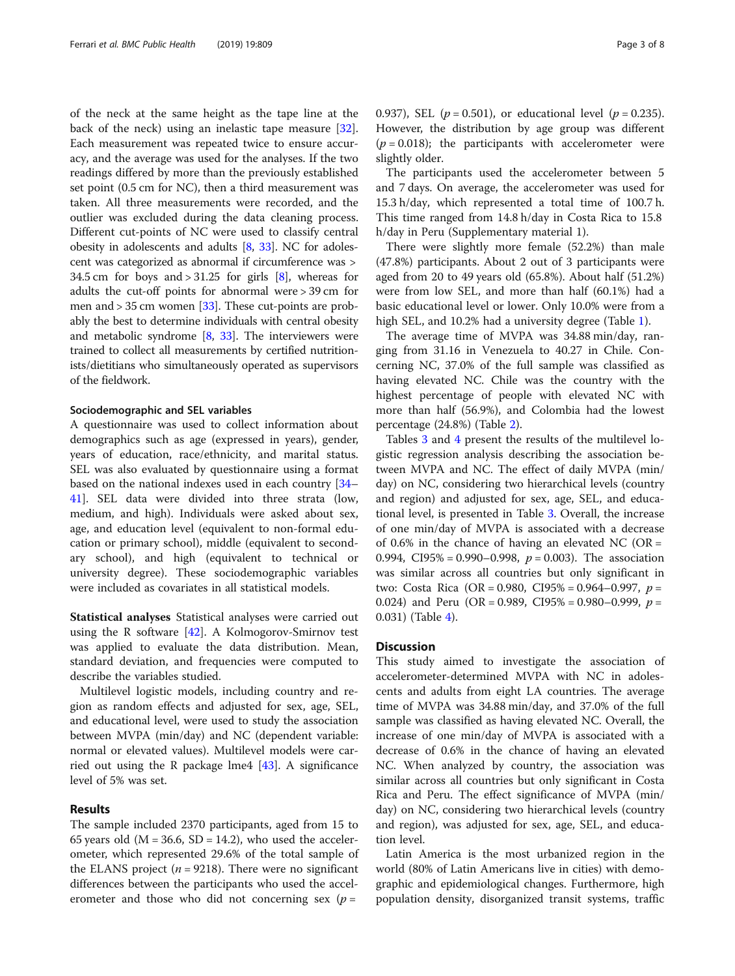of the neck at the same height as the tape line at the back of the neck) using an inelastic tape measure [\[32](#page-6-0)]. Each measurement was repeated twice to ensure accuracy, and the average was used for the analyses. If the two readings differed by more than the previously established set point (0.5 cm for NC), then a third measurement was taken. All three measurements were recorded, and the outlier was excluded during the data cleaning process. Different cut-points of NC were used to classify central obesity in adolescents and adults [\[8](#page-6-0), [33\]](#page-6-0). NC for adolescent was categorized as abnormal if circumference was > 34.5 cm for boys and  $> 31.25$  for girls  $[8]$ , whereas for adults the cut-off points for abnormal were > 39 cm for men and  $> 35$  cm women [\[33\]](#page-6-0). These cut-points are probably the best to determine individuals with central obesity and metabolic syndrome [[8,](#page-6-0) [33\]](#page-6-0). The interviewers were trained to collect all measurements by certified nutritionists/dietitians who simultaneously operated as supervisors of the fieldwork.

#### Sociodemographic and SEL variables

A questionnaire was used to collect information about demographics such as age (expressed in years), gender, years of education, race/ethnicity, and marital status. SEL was also evaluated by questionnaire using a format based on the national indexes used in each country [[34](#page-6-0)– [41\]](#page-6-0). SEL data were divided into three strata (low, medium, and high). Individuals were asked about sex, age, and education level (equivalent to non-formal education or primary school), middle (equivalent to secondary school), and high (equivalent to technical or university degree). These sociodemographic variables were included as covariates in all statistical models.

Statistical analyses Statistical analyses were carried out using the R software [\[42](#page-6-0)]. A Kolmogorov-Smirnov test was applied to evaluate the data distribution. Mean, standard deviation, and frequencies were computed to describe the variables studied.

Multilevel logistic models, including country and region as random effects and adjusted for sex, age, SEL, and educational level, were used to study the association between MVPA (min/day) and NC (dependent variable: normal or elevated values). Multilevel models were carried out using the R package lme4 [\[43](#page-6-0)]. A significance level of 5% was set.

#### Results

The sample included 2370 participants, aged from 15 to 65 years old ( $M = 36.6$ ,  $SD = 14.2$ ), who used the accelerometer, which represented 29.6% of the total sample of the ELANS project ( $n = 9218$ ). There were no significant differences between the participants who used the accelerometer and those who did not concerning sex  $(p =$ 

0.937), SEL ( $p = 0.501$ ), or educational level ( $p = 0.235$ ). However, the distribution by age group was different  $(p = 0.018)$ ; the participants with accelerometer were slightly older.

The participants used the accelerometer between 5 and 7 days. On average, the accelerometer was used for 15.3 h/day, which represented a total time of 100.7 h. This time ranged from 14.8 h/day in Costa Rica to 15.8 h/day in Peru (Supplementary material 1).

There were slightly more female (52.2%) than male (47.8%) participants. About 2 out of 3 participants were aged from 20 to 49 years old (65.8%). About half (51.2%) were from low SEL, and more than half (60.1%) had a basic educational level or lower. Only 10.0% were from a high SEL, and 10.2% had a university degree (Table [1](#page-3-0)).

The average time of MVPA was 34.88 min/day, ranging from 31.16 in Venezuela to 40.27 in Chile. Concerning NC, 37.0% of the full sample was classified as having elevated NC. Chile was the country with the highest percentage of people with elevated NC with more than half (56.9%), and Colombia had the lowest percentage (24.8%) (Table [2](#page-3-0)).

Tables [3](#page-4-0) and [4](#page-4-0) present the results of the multilevel logistic regression analysis describing the association between MVPA and NC. The effect of daily MVPA (min/ day) on NC, considering two hierarchical levels (country and region) and adjusted for sex, age, SEL, and educational level, is presented in Table [3.](#page-4-0) Overall, the increase of one min/day of MVPA is associated with a decrease of 0.6% in the chance of having an elevated NC (OR = 0.994, CI95% = 0.990–0.998,  $p = 0.003$ ). The association was similar across all countries but only significant in two: Costa Rica (OR = 0.980, CI95% = 0.964–0.997,  $p =$ 0.024) and Peru (OR = 0.989, CI95% = 0.980–0.999,  $p =$ 0.031) (Table [4\)](#page-4-0).

#### **Discussion**

This study aimed to investigate the association of accelerometer-determined MVPA with NC in adolescents and adults from eight LA countries. The average time of MVPA was 34.88 min/day, and 37.0% of the full sample was classified as having elevated NC. Overall, the increase of one min/day of MVPA is associated with a decrease of 0.6% in the chance of having an elevated NC. When analyzed by country, the association was similar across all countries but only significant in Costa Rica and Peru. The effect significance of MVPA (min/ day) on NC, considering two hierarchical levels (country and region), was adjusted for sex, age, SEL, and education level.

Latin America is the most urbanized region in the world (80% of Latin Americans live in cities) with demographic and epidemiological changes. Furthermore, high population density, disorganized transit systems, traffic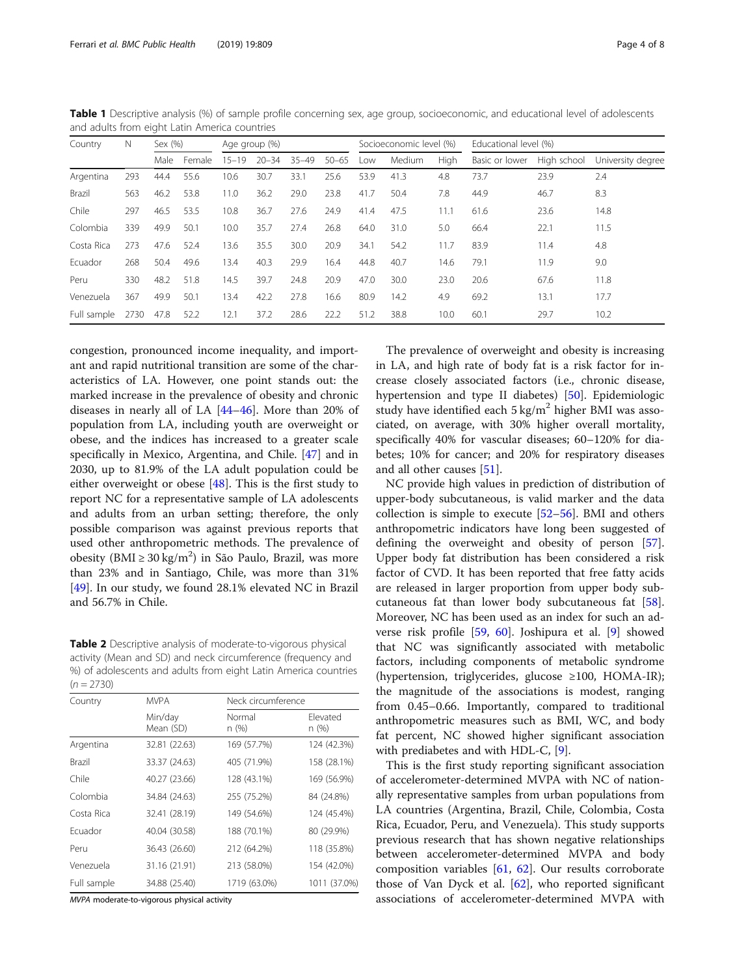congestion, pronounced income inequality, and important and rapid nutritional transition are some of the characteristics of LA. However, one point stands out: the marked increase in the prevalence of obesity and chronic diseases in nearly all of LA [[44](#page-6-0)–[46](#page-6-0)]. More than 20% of population from LA, including youth are overweight or obese, and the indices has increased to a greater scale specifically in Mexico, Argentina, and Chile. [\[47](#page-7-0)] and in 2030, up to 81.9% of the LA adult population could be either overweight or obese [[48](#page-7-0)]. This is the first study to report NC for a representative sample of LA adolescents and adults from an urban setting; therefore, the only possible comparison was against previous reports that used other anthropometric methods. The prevalence of obesity (BMI ≥ 30 kg/m<sup>2</sup>) in São Paulo, Brazil, was more than 23% and in Santiago, Chile, was more than 31% [[49\]](#page-7-0). In our study, we found 28.1% elevated NC in Brazil and 56.7% in Chile.

Table 2 Descriptive analysis of moderate-to-vigorous physical activity (Mean and SD) and neck circumference (frequency and %) of adolescents and adults from eight Latin America countries  $(n = 2730)$ 

| Country     | <b>MVPA</b>          |                 | Neck circumference |  |  |  |
|-------------|----------------------|-----------------|--------------------|--|--|--|
|             | Min/day<br>Mean (SD) | Normal<br>n (%) | Flevated<br>n (%)  |  |  |  |
| Argentina   | 32.81 (22.63)        | 169 (57.7%)     | 124 (42.3%)        |  |  |  |
| Brazil      | 33.37 (24.63)        | 405 (71.9%)     | 158 (28.1%)        |  |  |  |
| Chile       | 40.27 (23.66)        | 128 (43.1%)     | 169 (56.9%)        |  |  |  |
| Colombia    | 34.84 (24.63)        | 255 (75.2%)     | 84 (24.8%)         |  |  |  |
| Costa Rica  | 32.41 (28.19)        | 149 (54.6%)     | 124 (45.4%)        |  |  |  |
| Fcuador     | 40.04 (30.58)        | 188 (70.1%)     | 80 (29.9%)         |  |  |  |
| Peru        | 36.43 (26.60)        | 212 (64.2%)     | 118 (35.8%)        |  |  |  |
| Venezuela   | 31.16 (21.91)        | 213 (58.0%)     | 154 (42.0%)        |  |  |  |
| Full sample | 34.88 (25.40)        | 1719 (63.0%)    | 1011 (37.0%)       |  |  |  |

MVPA moderate-to-vigorous physical activity

The prevalence of overweight and obesity is increasing in LA, and high rate of body fat is a risk factor for increase closely associated factors (i.e., chronic disease, hypertension and type II diabetes) [\[50](#page-7-0)]. Epidemiologic study have identified each  $5 \text{ kg/m}^2$  higher BMI was associated, on average, with 30% higher overall mortality, specifically 40% for vascular diseases; 60–120% for diabetes; 10% for cancer; and 20% for respiratory diseases and all other causes [[51\]](#page-7-0).

NC provide high values in prediction of distribution of upper-body subcutaneous, is valid marker and the data collection is simple to execute [\[52](#page-7-0)–[56\]](#page-7-0). BMI and others anthropometric indicators have long been suggested of defining the overweight and obesity of person [\[57](#page-7-0)]. Upper body fat distribution has been considered a risk factor of CVD. It has been reported that free fatty acids are released in larger proportion from upper body subcutaneous fat than lower body subcutaneous fat [\[58](#page-7-0)]. Moreover, NC has been used as an index for such an adverse risk profile [[59,](#page-7-0) [60\]](#page-7-0). Joshipura et al. [[9\]](#page-6-0) showed that NC was significantly associated with metabolic factors, including components of metabolic syndrome (hypertension, triglycerides, glucose ≥100, HOMA-IR); the magnitude of the associations is modest, ranging from 0.45–0.66. Importantly, compared to traditional anthropometric measures such as BMI, WC, and body fat percent, NC showed higher significant association with prediabetes and with HDL-C, [[9](#page-6-0)].

This is the first study reporting significant association of accelerometer-determined MVPA with NC of nationally representative samples from urban populations from LA countries (Argentina, Brazil, Chile, Colombia, Costa Rica, Ecuador, Peru, and Venezuela). This study supports previous research that has shown negative relationships between accelerometer-determined MVPA and body composition variables [[61](#page-7-0), [62\]](#page-7-0). Our results corroborate those of Van Dyck et al. [[62\]](#page-7-0), who reported significant associations of accelerometer-determined MVPA with

<span id="page-3-0"></span>Table 1 Descriptive analysis (%) of sample profile concerning sex, age group, socioeconomic, and educational level of adolescents and adults from eight Latin America countries

| Country     | N    | Sex (%) |        | Age group (%) |           |       | Socioeconomic level (%) |      | Educational level (%) |      |                |             |                   |
|-------------|------|---------|--------|---------------|-----------|-------|-------------------------|------|-----------------------|------|----------------|-------------|-------------------|
|             |      | Male    | Female | $15 - 19$     | $20 - 34$ | 35-49 | $50 - 65$               | Low  | Medium                | High | Basic or lower | High school | University degree |
| Argentina   | 293  | 44.4    | 55.6   | 10.6          | 30.7      | 33.1  | 25.6                    | 53.9 | 41.3                  | 4.8  | 73.7           | 23.9        | 2.4               |
| Brazil      | 563  | 46.2    | 53.8   | 11.0          | 36.2      | 29.0  | 23.8                    | 41.7 | 50.4                  | 7.8  | 44.9           | 46.7        | 8.3               |
| Chile       | 297  | 46.5    | 53.5   | 10.8          | 36.7      | 27.6  | 24.9                    | 41.4 | 47.5                  | 11.1 | 61.6           | 23.6        | 14.8              |
| Colombia    | 339  | 49.9    | 50.1   | 10.0          | 35.7      | 27.4  | 26.8                    | 64.0 | 31.0                  | 5.0  | 66.4           | 22.1        | 11.5              |
| Costa Rica  | 273  | 47.6    | 52.4   | 13.6          | 35.5      | 30.0  | 20.9                    | 34.1 | 54.2                  | 11.7 | 83.9           | 11.4        | 4.8               |
| Ecuador     | 268  | 50.4    | 49.6   | 13.4          | 40.3      | 29.9  | 16.4                    | 44.8 | 40.7                  | 14.6 | 79.1           | 11.9        | 9.0               |
| Peru        | 330  | 48.2    | 51.8   | 14.5          | 39.7      | 24.8  | 20.9                    | 47.0 | 30.0                  | 23.0 | 20.6           | 67.6        | 11.8              |
| Venezuela   | 367  | 49.9    | 50.1   | 13.4          | 42.2      | 27.8  | 16.6                    | 80.9 | 14.2                  | 4.9  | 69.2           | 13.1        | 17.7              |
| Full sample | 2730 | 47.8    | 52.2   | 12.1          | 37.2      | 28.6  | 22.2                    | 51.2 | 38.8                  | 10.0 | 60.1           | 29.7        | 10.2              |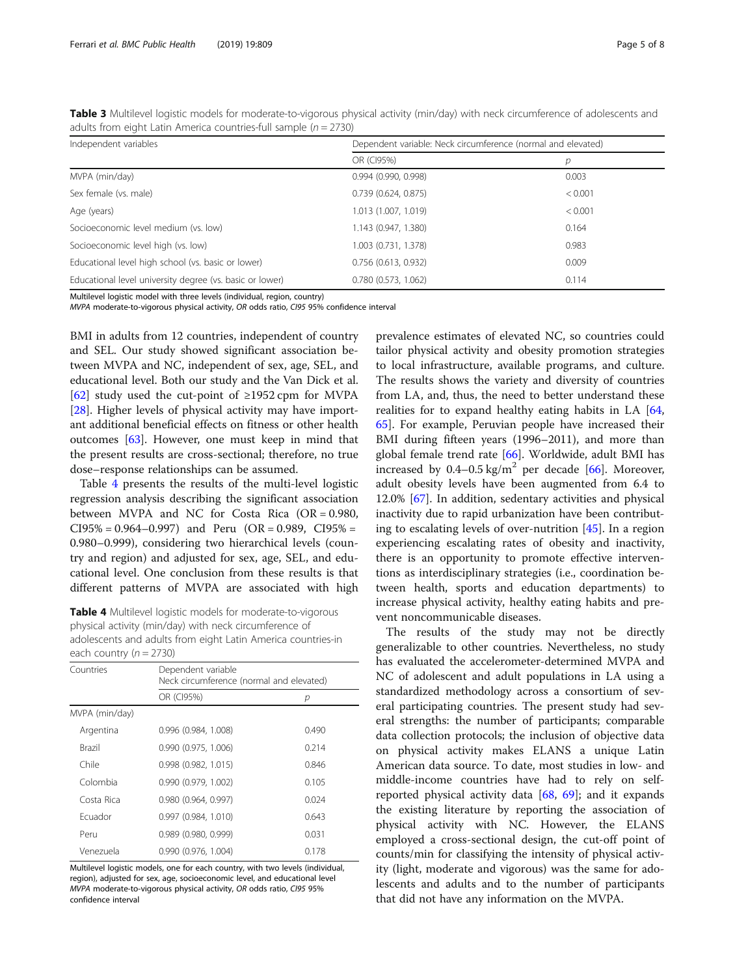<span id="page-4-0"></span>

| Table 3 Multilevel logistic models for moderate-to-vigorous physical activity (min/day) with neck circumference of adolescents and |  |
|------------------------------------------------------------------------------------------------------------------------------------|--|
| adults from eight Latin America countries-full sample $(n = 2730)$                                                                 |  |

| Independent variables                                    | Dependent variable: Neck circumference (normal and elevated) |         |  |  |  |
|----------------------------------------------------------|--------------------------------------------------------------|---------|--|--|--|
|                                                          | OR (CI95%)                                                   | р       |  |  |  |
| MVPA (min/day)                                           | 0.994(0.990, 0.998)                                          | 0.003   |  |  |  |
| Sex female (vs. male)                                    | 0.739(0.624, 0.875)                                          | < 0.001 |  |  |  |
| Age (years)                                              | 1.013 (1.007, 1.019)                                         | < 0.001 |  |  |  |
| Socioeconomic level medium (vs. low)                     | 1.143 (0.947, 1.380)                                         | 0.164   |  |  |  |
| Socioeconomic level high (vs. low)                       | 1.003 (0.731, 1.378)                                         | 0.983   |  |  |  |
| Educational level high school (vs. basic or lower)       | $0.756$ (0.613, 0.932)                                       | 0.009   |  |  |  |
| Educational level university degree (vs. basic or lower) | 0.780(0.573, 1.062)                                          | 0.114   |  |  |  |

Multilevel logistic model with three levels (individual, region, country)

MVPA moderate-to-vigorous physical activity, OR odds ratio, CI95 95% confidence interval

BMI in adults from 12 countries, independent of country and SEL. Our study showed significant association between MVPA and NC, independent of sex, age, SEL, and educational level. Both our study and the Van Dick et al. [[62\]](#page-7-0) study used the cut-point of  $\geq$ 1952 cpm for MVPA [[28\]](#page-6-0). Higher levels of physical activity may have important additional beneficial effects on fitness or other health outcomes [\[63\]](#page-7-0). However, one must keep in mind that the present results are cross-sectional; therefore, no true dose–response relationships can be assumed.

Table 4 presents the results of the multi-level logistic regression analysis describing the significant association between MVPA and NC for Costa Rica (OR = 0.980,  $CI95\% = 0.964 - 0.997$  and Peru (OR = 0.989, CI95% = 0.980–0.999), considering two hierarchical levels (country and region) and adjusted for sex, age, SEL, and educational level. One conclusion from these results is that different patterns of MVPA are associated with high

Table 4 Multilevel logistic models for moderate-to-vigorous physical activity (min/day) with neck circumference of adolescents and adults from eight Latin America countries-in each country  $(n = 2730)$ 

| Countries      | Dependent variable<br>Neck circumference (normal and elevated) |       |  |  |  |  |
|----------------|----------------------------------------------------------------|-------|--|--|--|--|
|                | OR (CI95%)                                                     | р     |  |  |  |  |
| MVPA (min/day) |                                                                |       |  |  |  |  |
| Argentina      | 0.996 (0.984, 1.008)                                           | 0.490 |  |  |  |  |
| <b>Brazil</b>  | 0.990 (0.975, 1.006)                                           | 0.214 |  |  |  |  |
| Chile          | 0.998 (0.982, 1.015)                                           | 0.846 |  |  |  |  |
| Colombia       | 0.990 (0.979, 1.002)                                           | 0.105 |  |  |  |  |
| Costa Rica     | 0.980 (0.964, 0.997)                                           | 0.024 |  |  |  |  |
| Fcuador        | 0.997(0.984, 1.010)                                            | 0.643 |  |  |  |  |
| Peru           | $0.989$ (0.980, 0.999)                                         | 0.031 |  |  |  |  |
| Venezuela      | 0.990(0.976, 1.004)                                            | 0.178 |  |  |  |  |

Multilevel logistic models, one for each country, with two levels (individual, region), adjusted for sex, age, socioeconomic level, and educational level MVPA moderate-to-vigorous physical activity, OR odds ratio, CI95 95% confidence interval

prevalence estimates of elevated NC, so countries could tailor physical activity and obesity promotion strategies to local infrastructure, available programs, and culture. The results shows the variety and diversity of countries from LA, and, thus, the need to better understand these realities for to expand healthy eating habits in LA [[64](#page-7-0), [65\]](#page-7-0). For example, Peruvian people have increased their BMI during fifteen years (1996–2011), and more than global female trend rate [[66\]](#page-7-0). Worldwide, adult BMI has increased by  $0.4-0.5$  kg/m<sup>2</sup> per decade [\[66](#page-7-0)]. Moreover, adult obesity levels have been augmented from 6.4 to 12.0% [\[67](#page-7-0)]. In addition, sedentary activities and physical inactivity due to rapid urbanization have been contributing to escalating levels of over-nutrition [\[45\]](#page-6-0). In a region experiencing escalating rates of obesity and inactivity, there is an opportunity to promote effective interventions as interdisciplinary strategies (i.e., coordination between health, sports and education departments) to increase physical activity, healthy eating habits and prevent noncommunicable diseases.

The results of the study may not be directly generalizable to other countries. Nevertheless, no study has evaluated the accelerometer-determined MVPA and NC of adolescent and adult populations in LA using a standardized methodology across a consortium of several participating countries. The present study had several strengths: the number of participants; comparable data collection protocols; the inclusion of objective data on physical activity makes ELANS a unique Latin American data source. To date, most studies in low- and middle-income countries have had to rely on selfreported physical activity data  $[68, 69]$  $[68, 69]$  $[68, 69]$  $[68, 69]$ ; and it expands the existing literature by reporting the association of physical activity with NC. However, the ELANS employed a cross-sectional design, the cut-off point of counts/min for classifying the intensity of physical activity (light, moderate and vigorous) was the same for adolescents and adults and to the number of participants that did not have any information on the MVPA.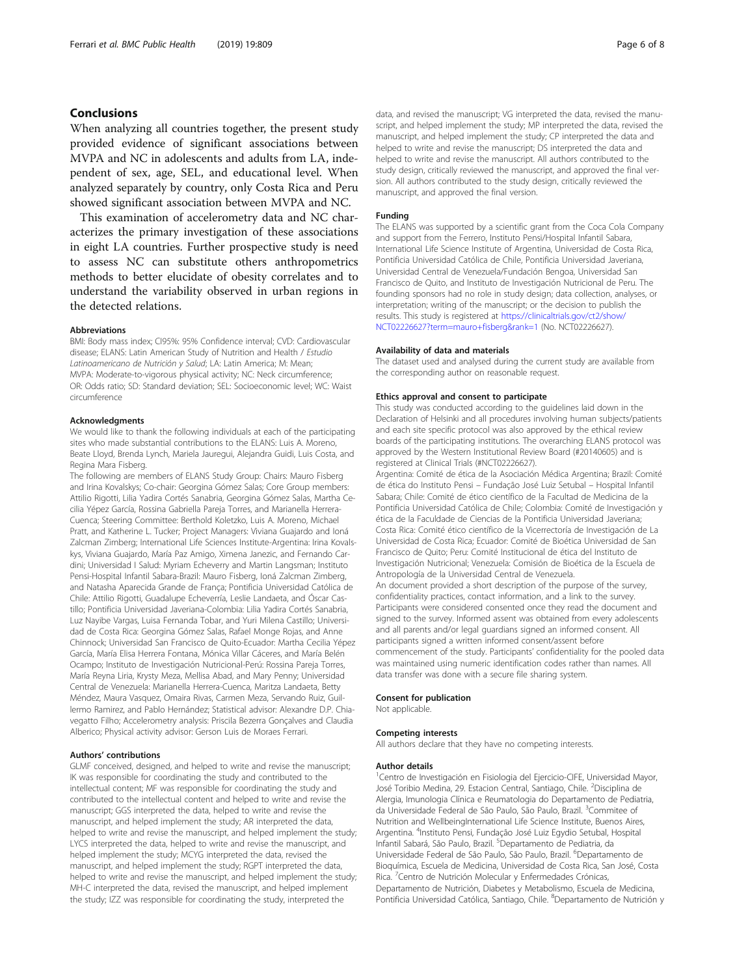#### Conclusions

When analyzing all countries together, the present study provided evidence of significant associations between MVPA and NC in adolescents and adults from LA, independent of sex, age, SEL, and educational level. When analyzed separately by country, only Costa Rica and Peru showed significant association between MVPA and NC.

This examination of accelerometry data and NC characterizes the primary investigation of these associations in eight LA countries. Further prospective study is need to assess NC can substitute others anthropometrics methods to better elucidate of obesity correlates and to understand the variability observed in urban regions in the detected relations.

#### Abbreviations

BMI: Body mass index; CI95%: 95% Confidence interval; CVD: Cardiovascular disease; ELANS: Latin American Study of Nutrition and Health / Estudio Latinoamericano de Nutrición y Salud; LA: Latin America; M: Mean; MVPA: Moderate-to-vigorous physical activity; NC: Neck circumference; OR: Odds ratio; SD: Standard deviation; SEL: Socioeconomic level; WC: Waist circumference

#### Acknowledgments

We would like to thank the following individuals at each of the participating sites who made substantial contributions to the ELANS: Luis A. Moreno, Beate Lloyd, Brenda Lynch, Mariela Jauregui, Alejandra Guidi, Luis Costa, and Regina Mara Fisberg.

The following are members of ELANS Study Group: Chairs: Mauro Fisberg and Irina Kovalskys; Co-chair: Georgina Gómez Salas; Core Group members: Attilio Rigotti, Lilia Yadira Cortés Sanabria, Georgina Gómez Salas, Martha Cecilia Yépez García, Rossina Gabriella Pareja Torres, and Marianella Herrera-Cuenca; Steering Committee: Berthold Koletzko, Luis A. Moreno, Michael Pratt, and Katherine L. Tucker; Project Managers: Viviana Guajardo and Ioná Zalcman Zimberg; International Life Sciences Institute-Argentina: Irina Kovalskys, Viviana Guajardo, María Paz Amigo, Ximena Janezic, and Fernando Cardini; Universidad I Salud: Myriam Echeverry and Martin Langsman; Instituto Pensi-Hospital Infantil Sabara-Brazil: Mauro Fisberg, Ioná Zalcman Zimberg, and Natasha Aparecida Grande de França; Pontificia Universidad Católica de Chile: Attilio Rigotti, Guadalupe Echeverría, Leslie Landaeta, and Óscar Castillo; Pontificia Universidad Javeriana-Colombia: Lilia Yadira Cortés Sanabria, Luz Nayibe Vargas, Luisa Fernanda Tobar, and Yuri Milena Castillo; Universidad de Costa Rica: Georgina Gómez Salas, Rafael Monge Rojas, and Anne Chinnock; Universidad San Francisco de Quito-Ecuador: Martha Cecilia Yépez García, María Elisa Herrera Fontana, Mónica Villar Cáceres, and María Belén Ocampo; Instituto de Investigación Nutricional-Perú: Rossina Pareja Torres, María Reyna Liria, Krysty Meza, Mellisa Abad, and Mary Penny; Universidad Central de Venezuela: Marianella Herrera-Cuenca, Maritza Landaeta, Betty Méndez, Maura Vasquez, Omaira Rivas, Carmen Meza, Servando Ruiz, Guillermo Ramirez, and Pablo Hernández; Statistical advisor: Alexandre D.P. Chiavegatto Filho; Accelerometry analysis: Priscila Bezerra Gonçalves and Claudia Alberico; Physical activity advisor: Gerson Luis de Moraes Ferrari.

#### Authors' contributions

GLMF conceived, designed, and helped to write and revise the manuscript; IK was responsible for coordinating the study and contributed to the intellectual content; MF was responsible for coordinating the study and contributed to the intellectual content and helped to write and revise the manuscript; GGS interpreted the data, helped to write and revise the manuscript, and helped implement the study; AR interpreted the data, helped to write and revise the manuscript, and helped implement the study; LYCS interpreted the data, helped to write and revise the manuscript, and helped implement the study; MCYG interpreted the data, revised the manuscript, and helped implement the study; RGPT interpreted the data, helped to write and revise the manuscript, and helped implement the study; MH-C interpreted the data, revised the manuscript, and helped implement the study; IZZ was responsible for coordinating the study, interpreted the

data, and revised the manuscript; VG interpreted the data, revised the manuscript, and helped implement the study; MP interpreted the data, revised the manuscript, and helped implement the study; CP interpreted the data and helped to write and revise the manuscript; DS interpreted the data and helped to write and revise the manuscript. All authors contributed to the study design, critically reviewed the manuscript, and approved the final version. All authors contributed to the study design, critically reviewed the manuscript, and approved the final version.

#### Funding

The ELANS was supported by a scientific grant from the Coca Cola Company and support from the Ferrero, Instituto Pensi/Hospital Infantil Sabara, International Life Science Institute of Argentina, Universidad de Costa Rica, Pontificia Universidad Católica de Chile, Pontificia Universidad Javeriana, Universidad Central de Venezuela/Fundación Bengoa, Universidad San Francisco de Quito, and Instituto de Investigación Nutricional de Peru. The founding sponsors had no role in study design; data collection, analyses, or interpretation; writing of the manuscript; or the decision to publish the results. This study is registered at [https://clinicaltrials.gov/ct2/show/](https://clinicaltrials.gov/ct2/show/NCT02226627?term=mauro+fisberg&rank=1) [NCT02226627?term=mauro+fisberg&rank=1](https://clinicaltrials.gov/ct2/show/NCT02226627?term=mauro+fisberg&rank=1) (No. NCT02226627).

#### Availability of data and materials

The dataset used and analysed during the current study are available from the corresponding author on reasonable request.

#### Ethics approval and consent to participate

This study was conducted according to the guidelines laid down in the Declaration of Helsinki and all procedures involving human subjects/patients and each site specific protocol was also approved by the ethical review boards of the participating institutions. The overarching ELANS protocol was approved by the Western Institutional Review Board (#20140605) and is registered at Clinical Trials (#NCT02226627).

Argentina: Comité de ética de la Asociación Médica Argentina; Brazil: Comité de ética do Instituto Pensi – Fundação José Luiz Setubal – Hospital Infantil Sabara; Chile: Comité de ético científico de la Facultad de Medicina de la Pontificia Universidad Católica de Chile; Colombia: Comité de Investigación y ética de la Faculdade de Ciencias de la Pontificia Universidad Javeriana; Costa Rica: Comité ético científico de la Vicerrectoría de Investigación de La Universidad de Costa Rica; Ecuador: Comité de Bioética Universidad de San Francisco de Quito; Peru: Comité Institucional de ética del Instituto de Investigación Nutricional; Venezuela: Comisión de Bioética de la Escuela de Antropología de la Universidad Central de Venezuela. An document provided a short description of the purpose of the survey, confidentiality practices, contact information, and a link to the survey. Participants were considered consented once they read the document and signed to the survey. Informed assent was obtained from every adolescents and all parents and/or legal guardians signed an informed consent. All participants signed a written informed consent/assent before commencement of the study. Participants' confidentiality for the pooled data was maintained using numeric identification codes rather than names. All data transfer was done with a secure file sharing system.

#### Consent for publication

Not applicable.

#### Competing interests

All authors declare that they have no competing interests.

#### Author details

<sup>1</sup> Centro de Investigación en Fisiologia del Ejercicio-CIFE, Universidad Mayor, José Toribio Medina, 29. Estacion Central, Santiago, Chile. <sup>2</sup>Disciplina de Alergia, Imunologia Clínica e Reumatologia do Departamento de Pediatria, da Universidade Federal de São Paulo, São Paulo, Brazil. <sup>3</sup>Commitee of Nutrition and WellbeingInternational Life Science Institute, Buenos Aires, Argentina. <sup>4</sup> Instituto Pensi, Fundação José Luiz Egydio Setubal, Hospital Infantil Sabará, São Paulo, Brazil. <sup>5</sup> Departamento de Pediatria, da Universidade Federal de São Paulo, São Paulo, Brazil. <sup>6</sup>Departamento de Bioquímica, Escuela de Medicina, Universidad de Costa Rica, San José, Costa Rica. <sup>7</sup> Centro de Nutrición Molecular y Enfermedades Crónicas, Departamento de Nutrición, Diabetes y Metabolismo, Escuela de Medicina, Pontificia Universidad Católica, Santiago, Chile. <sup>8</sup>Departamento de Nutrición y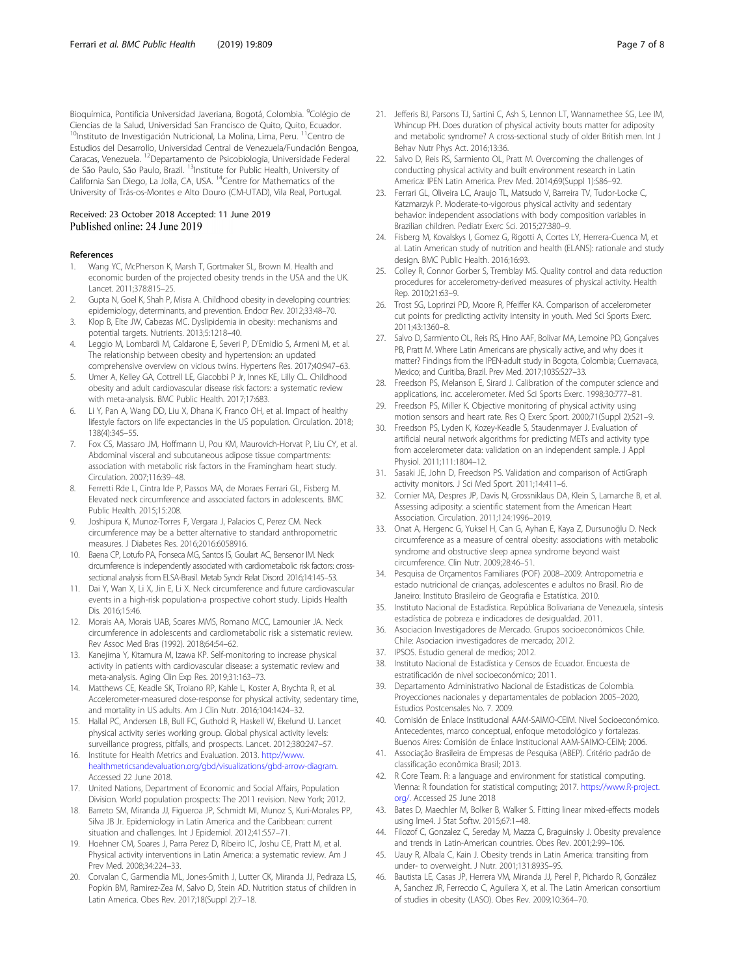<span id="page-6-0"></span>Bioquímica, Pontificia Universidad Javeriana, Bogotá, Colombia. <sup>9</sup>Colégio de Ciencias de la Salud, Universidad San Francisco de Quito, Quito, Ecuador. <sup>10</sup>Instituto de Investigación Nutricional, La Molina, Lima, Peru. <sup>11</sup>Centro de Estudios del Desarrollo, Universidad Central de Venezuela/Fundación Bengoa, Caracas, Venezuela. 12Departamento de Psicobiologia, Universidade Federal de São Paulo, São Paulo, Brazil. <sup>13</sup>Institute for Public Health, University of California San Diego, La Jolla, CA, USA. 14Centre for Mathematics of the University of Trás-os-Montes e Alto Douro (CM-UTAD), Vila Real, Portugal.

#### Received: 23 October 2018 Accepted: 11 June 2019 Published online: 24 June 2019

#### References

- Wang YC, McPherson K, Marsh T, Gortmaker SL, Brown M. Health and economic burden of the projected obesity trends in the USA and the UK. Lancet. 2011;378:815–25.
- 2. Gupta N, Goel K, Shah P, Misra A. Childhood obesity in developing countries: epidemiology, determinants, and prevention. Endocr Rev. 2012;33:48–70.
- Klop B, Elte JW, Cabezas MC. Dyslipidemia in obesity: mechanisms and potential targets. Nutrients. 2013;5:1218–40.
- Leggio M, Lombardi M, Caldarone E, Severi P, D'Emidio S, Armeni M, et al. The relationship between obesity and hypertension: an updated comprehensive overview on vicious twins. Hypertens Res. 2017;40:947–63.
- 5. Umer A, Kelley GA, Cottrell LE, Giacobbi P Jr, Innes KE, Lilly CL. Childhood obesity and adult cardiovascular disease risk factors: a systematic review with meta-analysis. BMC Public Health. 2017;17:683.
- 6. Li Y, Pan A, Wang DD, Liu X, Dhana K, Franco OH, et al. Impact of healthy lifestyle factors on life expectancies in the US population. Circulation. 2018; 138(4):345–55.
- 7. Fox CS, Massaro JM, Hoffmann U, Pou KM, Maurovich-Horvat P, Liu CY, et al. Abdominal visceral and subcutaneous adipose tissue compartments: association with metabolic risk factors in the Framingham heart study. Circulation. 2007;116:39–48.
- 8. Ferretti Rde L, Cintra Ide P, Passos MA, de Moraes Ferrari GL, Fisberg M. Elevated neck circumference and associated factors in adolescents. BMC Public Health. 2015;15:208.
- 9. Joshipura K, Munoz-Torres F, Vergara J, Palacios C, Perez CM. Neck circumference may be a better alternative to standard anthropometric measures. J Diabetes Res. 2016;2016:6058916.
- 10. Baena CP, Lotufo PA, Fonseca MG, Santos IS, Goulart AC, Bensenor IM. Neck circumference is independently associated with cardiometabolic risk factors: crosssectional analysis from ELSA-Brasil. Metab Syndr Relat Disord. 2016;14:145–53.
- 11. Dai Y, Wan X, Li X, Jin E, Li X. Neck circumference and future cardiovascular events in a high-risk population-a prospective cohort study. Lipids Health Dis. 2016;15:46.
- 12. Morais AA, Morais UAB, Soares MMS, Romano MCC, Lamounier JA. Neck circumference in adolescents and cardiometabolic risk: a sistematic review. Rev Assoc Med Bras (1992). 2018;64:54–62.
- 13. Kanejima Y, Kitamura M, Izawa KP. Self-monitoring to increase physical activity in patients with cardiovascular disease: a systematic review and meta-analysis. Aging Clin Exp Res. 2019;31:163–73.
- 14. Matthews CE, Keadle SK, Troiano RP, Kahle L, Koster A, Brychta R, et al. Accelerometer-measured dose-response for physical activity, sedentary time, and mortality in US adults. Am J Clin Nutr. 2016;104:1424–32.
- 15. Hallal PC, Andersen LB, Bull FC, Guthold R, Haskell W, Ekelund U. Lancet physical activity series working group. Global physical activity levels: surveillance progress, pitfalls, and prospects. Lancet. 2012;380:247–57.
- 16. Institute for Health Metrics and Evaluation. 2013. [http://www.](http://www.healthmetricsandevaluation.org/gbd/visualizations/gbd-arrow-diagram) [healthmetricsandevaluation.org/gbd/visualizations/gbd-arrow-diagram.](http://www.healthmetricsandevaluation.org/gbd/visualizations/gbd-arrow-diagram) Accessed 22 June 2018.
- 17. United Nations, Department of Economic and Social Affairs, Population Division. World population prospects: The 2011 revision. New York; 2012.
- 18. Barreto SM, Miranda JJ, Figueroa JP, Schmidt MI, Munoz S, Kuri-Morales PP, Silva JB Jr. Epidemiology in Latin America and the Caribbean: current situation and challenges. Int J Epidemiol. 2012;41:557–71.
- 19. Hoehner CM, Soares J, Parra Perez D, Ribeiro IC, Joshu CE, Pratt M, et al. Physical activity interventions in Latin America: a systematic review. Am J Prev Med. 2008;34:224–33.
- 20. Corvalan C, Garmendia ML, Jones-Smith J, Lutter CK, Miranda JJ, Pedraza LS, Popkin BM, Ramirez-Zea M, Salvo D, Stein AD. Nutrition status of children in Latin America. Obes Rev. 2017;18(Suppl 2):7–18.
- 21. Jefferis BJ, Parsons TJ, Sartini C, Ash S, Lennon LT, Wannamethee SG, Lee IM, Whincup PH. Does duration of physical activity bouts matter for adiposity and metabolic syndrome? A cross-sectional study of older British men. Int J Behav Nutr Phys Act. 2016;13:36.
- 22. Salvo D, Reis RS, Sarmiento OL, Pratt M. Overcoming the challenges of conducting physical activity and built environment research in Latin America: IPEN Latin America. Prev Med. 2014;69(Suppl 1):S86–92.
- 23. Ferrari GL, Oliveira LC, Araujo TL, Matsudo V, Barreira TV, Tudor-Locke C, Katzmarzyk P. Moderate-to-vigorous physical activity and sedentary behavior: independent associations with body composition variables in Brazilian children. Pediatr Exerc Sci. 2015;27:380–9.
- 24. Fisberg M, Kovalskys I, Gomez G, Rigotti A, Cortes LY, Herrera-Cuenca M, et al. Latin American study of nutrition and health (ELANS): rationale and study design. BMC Public Health. 2016;16:93.
- 25. Colley R, Connor Gorber S, Tremblay MS. Quality control and data reduction procedures for accelerometry-derived measures of physical activity. Health Rep. 2010;21:63–9.
- 26. Trost SG, Loprinzi PD, Moore R, Pfeiffer KA. Comparison of accelerometer cut points for predicting activity intensity in youth. Med Sci Sports Exerc. 2011;43:1360–8.
- 27. Salvo D, Sarmiento OL, Reis RS, Hino AAF, Bolivar MA, Lemoine PD, Gonçalves PB, Pratt M. Where Latin Americans are physically active, and why does it matter? Findings from the IPEN-adult study in Bogota, Colombia; Cuernavaca, Mexico; and Curitiba, Brazil. Prev Med. 2017;103S:S27–33.
- Freedson PS, Melanson E, Sirard J. Calibration of the computer science and applications, inc. accelerometer. Med Sci Sports Exerc. 1998;30:777–81.
- 29. Freedson PS, Miller K. Objective monitoring of physical activity using motion sensors and heart rate. Res Q Exerc Sport. 2000;71(Suppl 2):S21–9.
- 30. Freedson PS, Lyden K, Kozey-Keadle S, Staudenmayer J. Evaluation of artificial neural network algorithms for predicting METs and activity type from accelerometer data: validation on an independent sample. J Appl Physiol. 2011;111:1804–12.
- 31. Sasaki JE, John D, Freedson PS. Validation and comparison of ActiGraph activity monitors. J Sci Med Sport. 2011;14:411–6.
- 32. Cornier MA, Despres JP, Davis N, Grossniklaus DA, Klein S, Lamarche B, et al. Assessing adiposity: a scientific statement from the American Heart Association. Circulation. 2011;124:1996–2019.
- 33. Onat A, Hergenc G, Yuksel H, Can G, Ayhan E, Kaya Z, Dursunoğlu D. Neck circumference as a measure of central obesity: associations with metabolic syndrome and obstructive sleep apnea syndrome beyond waist circumference. Clin Nutr. 2009;28:46–51.
- 34. Pesquisa de Orçamentos Familiares (POF) 2008–2009: Antropometria e estado nutricional de crianças, adolescentes e adultos no Brasil. Rio de Janeiro: Instituto Brasileiro de Geografia e Estatística. 2010.
- 35. Instituto Nacional de Estadística. República Bolivariana de Venezuela, síntesis estadística de pobreza e indicadores de desigualdad. 2011.
- 36. Asociacion Investigadores de Mercado. Grupos socioeconómicos Chile. Chile: Asociacion investigadores de mercado; 2012.
- 37. IPSOS. Estudio general de medios; 2012.
- 38. Instituto Nacional de Estadística y Censos de Ecuador. Encuesta de estratificación de nivel socioeconómico; 2011.
- Departamento Administrativo Nacional de Estadisticas de Colombia. Proyecciones nacionales y departamentales de poblacion 2005–2020, Estudios Postcensales No. 7. 2009.
- 40. Comisión de Enlace Institucional AAM-SAIMO-CEIM. Nivel Socioeconómico. Antecedentes, marco conceptual, enfoque metodológico y fortalezas. Buenos Aires: Comisión de Enlace Institucional AAM-SAIMO-CEIM; 2006.
- 41. Associação Brasileira de Empresas de Pesquisa (ABEP). Critério padrão de classificação econômica Brasil; 2013.
- 42. R Core Team. R: a language and environment for statistical computing. Vienna: R foundation for statistical computing; 2017. [https://www.R-project.](https://www.r-project.org/) [org/.](https://www.r-project.org/) Accessed 25 June 2018
- 43. Bates D, Maechler M, Bolker B, Walker S. Fitting linear mixed-effects models using lme4. J Stat Softw. 2015;67:1–48.
- 44. Filozof C, Gonzalez C, Sereday M, Mazza C, Braguinsky J. Obesity prevalence and trends in Latin-American countries. Obes Rev. 2001;2:99–106.
- 45. Uauy R, Albala C, Kain J. Obesity trends in Latin America: transiting from under- to overweight. J Nutr. 2001;131:893S–9S.
- 46. Bautista LE, Casas JP, Herrera VM, Miranda JJ, Perel P, Pichardo R, González A, Sanchez JR, Ferreccio C, Aguilera X, et al. The Latin American consortium of studies in obesity (LASO). Obes Rev. 2009;10:364–70.